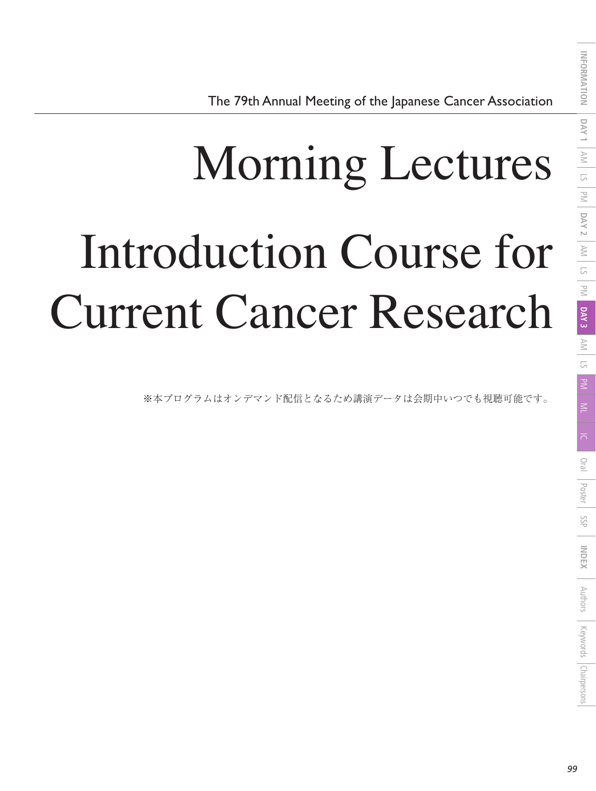## Morning Lectures Introduction Course for Current Cancer Research

※本プログラムはオンデマンド配信となるため講演データは会期中いつでも視聴可能です。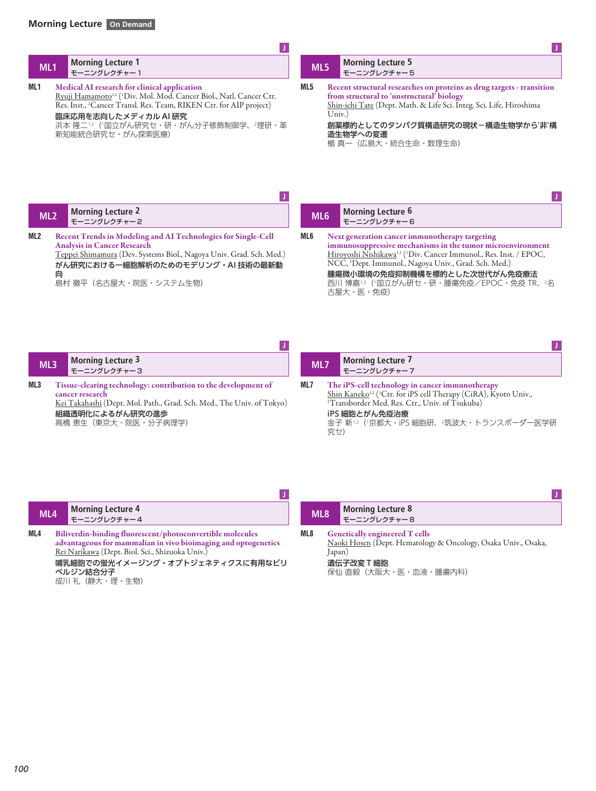| ML <sub>1</sub> | <b>Morning Lecture 1</b><br>モーニングレクチャー1                                                                                                                                                                                                                                                                                 | ML5             | <b>Morning Lecture 5</b><br>モーニングレクチャー5                                                                                                                                                                                                                                                                                                                              |
|-----------------|-------------------------------------------------------------------------------------------------------------------------------------------------------------------------------------------------------------------------------------------------------------------------------------------------------------------------|-----------------|----------------------------------------------------------------------------------------------------------------------------------------------------------------------------------------------------------------------------------------------------------------------------------------------------------------------------------------------------------------------|
| ML1             | Medical AI research for clinical application<br>Ryuji Hamamoto <sup>1,2</sup> ( <sup>1</sup> Div. Mol. Mod. Cancer Biol., Natl. Cancer Ctr.<br>Res. Inst., <sup>2</sup> Cancer Transl. Res. Team, RIKEN Ctr. for AIP project)<br>臨床応用を志向したメディカル AI 研究<br>浜本 隆二12 (1国立がん研究セ・研・がん分子修飾制御学、2理研・革<br>新知能統合研究セ・がん探索医療)<br>IJ. | ML5             | Recent structural researches on proteins as drug targets - transition<br>from structural to 'unstructural' biology<br>Shin-ichi Tate (Dept. Math. & Life Sci. Integ. Sci. Life, Hiroshima<br>Univ.<br>創薬標的としてのタンパク質構造研究の現状-構造生物学から'非'構<br>造生物学への変遷<br>楯 真一(広島大・統合生命・数理生命)                                                                                            |
| ML <sub>2</sub> | <b>Morning Lecture 2</b><br>モーニングレクチャー2                                                                                                                                                                                                                                                                                 | ML <sub>6</sub> | <b>Morning Lecture 6</b><br>モーニングレクチャー6                                                                                                                                                                                                                                                                                                                              |
| ML2             | Recent Trends in Modeling and AI Technologies for Single-Cell<br><b>Analysis in Cancer Research</b><br>Teppei Shimamura (Dev. Systems Biol., Nagoya Univ. Grad. Sch. Med.)<br>がん研究における一細胞解析のためのモデリング・AI 技術の最新動<br>向<br>島村 徹平(名古屋大・院医・システム生物)                                                                            | ML6             | Next generation cancer immunotherapy targeting<br>immunosuppressive mechanisms in the tumor microenvironment<br>Hiroyoshi Nishikawa <sup>1,2</sup> ( <sup>1</sup> Div. Cancer Immunol., Res. Inst. / EPOC,<br>NCC, <sup>2</sup> Dept. Immunol., Nagoya Univ., Grad. Sch. Med.)<br>腫瘍微小環境の免疫抑制機構を標的とした次世代がん免疫療法<br>西川 博嘉12 (1国立がん研セ・研・腫瘍免疫/EPOC・免疫 TR、2名<br>古屋大・医・免疫) |

| ML3 |                                                                                                                                                                                                      | <b>Morning Lecture 3</b><br>モーニングレクチャー3 | ML7 |     | <b>Morning Lecture 7</b><br>モーニングレクチャー7                                                                                                                                                                                                                             |
|-----|------------------------------------------------------------------------------------------------------------------------------------------------------------------------------------------------------|-----------------------------------------|-----|-----|---------------------------------------------------------------------------------------------------------------------------------------------------------------------------------------------------------------------------------------------------------------------|
| ML3 | Tissue-clearing technology: contribution to the development of<br>cancer research<br>Kei Takahashi (Dept. Mol. Path., Grad. Sch. Med., The Univ. of Tokyo)<br>組織透明化によるがん研究の進歩<br>高橋 恵生(東京大・院医・分子病理学) |                                         | ML7 | 究セ) | The iPS-cell technology in cancer immunotherapy<br>Shin Kaneko <sup>1,2</sup> ( <sup>1</sup> Ctr. for iPS cell Therapy (CiRA), Kyoto Univ.,<br><sup>2</sup> Transborder Med. Res. Ctr., Univ. of Tsukuba)<br>iPS 細胞とがん免疫治療<br>金子 新12 (1京都大・iPS 細胞研、2筑波大・トランスボーダー医学研 |

| ML4 | <b>Morning Lecture 4</b><br>モーニングレクチャー4                                                                                                                                                                                                         | ML <sub>8</sub> |        | <b>Morning Lecture 8</b><br>モーニングレクチャー8                                                                                                      |
|-----|-------------------------------------------------------------------------------------------------------------------------------------------------------------------------------------------------------------------------------------------------|-----------------|--------|----------------------------------------------------------------------------------------------------------------------------------------------|
| ML4 | Biliverdin-binding fluorescent/photoconvertible molecules<br>advantageous for mammalian in vivo bioimaging and optogenetics<br>Rei Narikawa (Dept. Biol. Sci., Shizuoka Univ.)<br>哺乳細胞での蛍光イメージング・オプトジェネティクスに有用なビリ<br>ベルジン結合分子<br>成川 礼 (静大・理・生物) | ML8             | Japan) | <b>Genetically engineered T cells</b><br>Naoki Hosen (Dept. Hematology & Oncology, Osaka Univ., Osaka,<br>遺伝子改変 T 細胞<br>保仙 直毅(大阪大・医・血液・腫瘍内科) |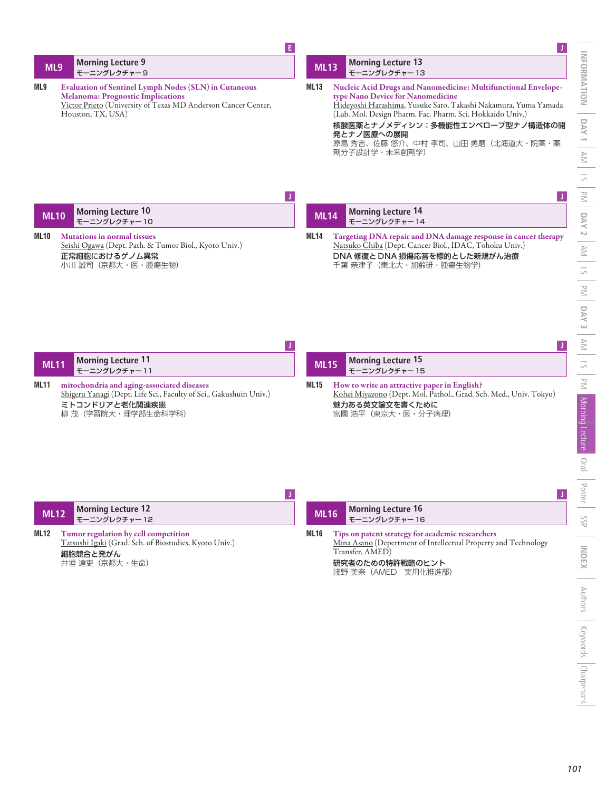|             |                                                                                                                                                                                                | E   |             |                                                                                                                                                                                                                                                                                                                                            |
|-------------|------------------------------------------------------------------------------------------------------------------------------------------------------------------------------------------------|-----|-------------|--------------------------------------------------------------------------------------------------------------------------------------------------------------------------------------------------------------------------------------------------------------------------------------------------------------------------------------------|
| ML9         | <b>Morning Lecture 9</b><br>モーニングレクチャー9                                                                                                                                                        |     | <b>ML13</b> | <b>Morning Lecture 13</b><br>モーニングレクチャー13                                                                                                                                                                                                                                                                                                  |
| ML9         | <b>Evaluation of Sentinel Lymph Nodes (SLN) in Cutaneous</b><br><b>Melanoma: Prognostic Implications</b><br>Victor Prieto (University of Texas MD Anderson Cancer Center,<br>Houston, TX, USA) |     | <b>ML13</b> | Nucleic Acid Drugs and Nanomedicine: Multifunctional Envelope-<br>type Nano Device for Nanomedicine<br>Hideyoshi Harashima, Yusuke Sato, Takashi Nakamura, Yuma Yamada<br>(Lab. Mol. Design Pharm. Fac. Pharm. Sci. Hokkaido Univ.)<br>核酸医薬とナノメディシン:多機能性エンベロープ型ナノ構造体の開<br>発とナノ医療への展開<br>原島 秀吉、佐藤 悠介、中村 孝司、山田 勇磨(北海道大・院薬・薬<br>剤分子設計学・未来創剤学) |
|             |                                                                                                                                                                                                | IJ. |             |                                                                                                                                                                                                                                                                                                                                            |
| <b>ML10</b> | <b>Morning Lecture 10</b><br>モーニングレクチャー10                                                                                                                                                      |     | <b>ML14</b> | <b>Morning Lecture 14</b><br>モーニングレクチャー14                                                                                                                                                                                                                                                                                                  |
| ML10        | <b>Mutations in normal tissues</b><br>Seishi Ogawa (Dept. Path. & Tumor Biol., Kyoto Univ.)<br>正常細胞におけるゲノム異常<br>小川 誠司 (京都大・医・腫瘍生物)                                                             | IJ. | <b>ML14</b> | Targeting DNA repair and DNA damage response in cancer therapy<br>Natsuko Chiba (Dept. Cancer Biol., IDAC, Tohoku Univ.)<br>DNA 修復と DNA 損傷応答を標的とした新規がん治療<br>千葉 奈津子(東北大・加齢研・腫瘍生物学)                                                                                                                                                          |
| <b>ML11</b> | <b>Morning Lecture 11</b><br>モーニングレクチャー11                                                                                                                                                      |     | <b>ML15</b> | <b>Morning Lecture 15</b><br>モーニングレクチャー15                                                                                                                                                                                                                                                                                                  |
| ML11        | mitochondria and aging-associated diseases<br>Shigeru Yanagi (Dept. Life Sci., Faculty of Sci., Gakushuin Univ.)<br>ミトコンドリアと老化関連疾患<br>柳 茂(学習院大・理学部生命科学科)                                       |     | <b>ML15</b> | How to write an attractive paper in English?<br>Kohei Miyazono (Dept. Mol. Pathol., Grad. Sch. Med., Univ. Tokyo)<br>魅力ある英文論文を書くために<br>宮園 浩平 (東京大・医・分子病理)                                                                                                                                                                                  |

| ML12 | <b>Morning Lecture 12</b><br>モーニングレクチャー 12 |  |
|------|--------------------------------------------|--|

**ML12 Tumor regulation by cell competition** Tatsushi Igaki (Grad. Sch. of Biostudies, Kyoto Univ.) 細胞競合と発がん 井垣 達吏(京都大・生命)

| <b>ML16</b> | <b>Morning Lecture 16</b><br>モーニングレクチャー16                                                                                             |  |
|-------------|---------------------------------------------------------------------------------------------------------------------------------------|--|
| ML16        | Tips on patent strategy for academic researchers<br>Mina Asano (Depertment of Intellectual Property and Technology<br>Transfer, AMED) |  |

研究者のための特許戦略のヒント 淺野 美奈(AMED 実用化推進部)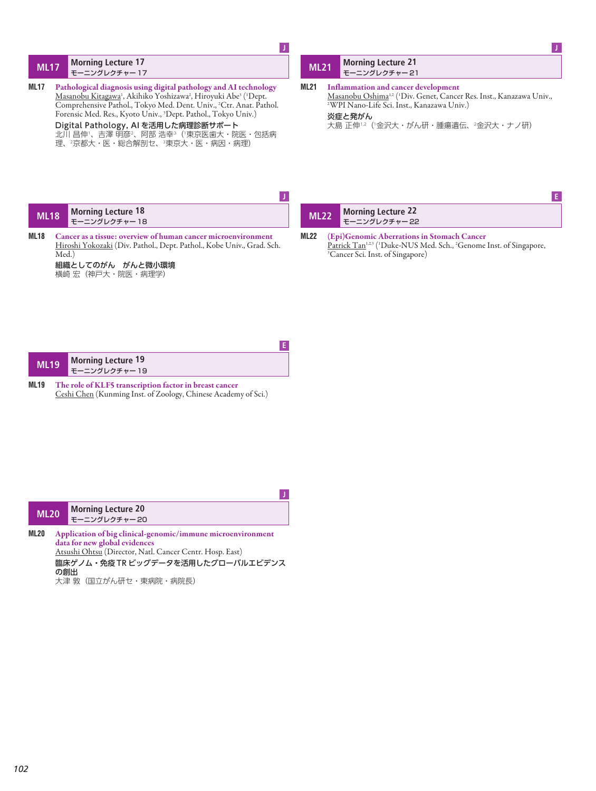## **ML17 Morning Lecture 17** モーニングレクチャー 17

**ML17 Pathological diagnosis using digital pathology and AItechnology** <u>Masanobu Kitagawa</u>', Akihiko Yoshizawa<sup>2</sup>, Hiroyuki Abe<sup>3</sup> ('Dept. Comprehensive Pathol., Tokyo Med. Dent. Univ., 2 Ctr. Anat. Pathol. Forensic Med. Res., Kyoto Univ., 3 Dept. Pathol., Tokyo Univ.) Digital Pathology, AI を活用した病理診断サポート 北川 昌伸1、吉澤 明彦2、阿部 浩幸3(1東京医歯大・院医・包括病 理、2京都大・医・総合解剖セ、3東京大・医・病因・病理)

Room **<sup>J</sup>**

## **ML21 Morning Lecture 21** モーニングレクチャー 21

**ML21 Inflammation and cancer development** <u>Masanobu Oshimali2 ('Div. Genet, Cancer Res. Inst., Kanazawa Univ.,</u><br><sup>2</sup>WPI Nano-Life Sci. Inst., Kanazawa Univ.) 炎症と発がん

Room **<sup>J</sup>**

大島 正伸1,2(1金沢大・がん研・腫瘍遺伝、2金沢大・ナノ研)

| <b>ML18</b> |       | Morning Lecture 18<br>モーニングレクチャー18                                                                                                                         | ML22 | Morning Lecture 22                                                                                                                                                                                    |  |
|-------------|-------|------------------------------------------------------------------------------------------------------------------------------------------------------------|------|-------------------------------------------------------------------------------------------------------------------------------------------------------------------------------------------------------|--|
| <b>ML18</b> | Med.) | Cancer as a tissue: overview of human cancer microenvironment<br>Hiroshi Yokozaki (Div. Pathol., Dept. Pathol., Kobe Univ., Grad. Sch.<br>組織としてのがん がんと微小環境 | ML22 | (Epi)Genomic Aberrations in Stomach Cancer<br>Patrick Tan <sup>1,2,3</sup> ( <sup>1</sup> Duke-NUS Med. Sch., <sup>2</sup> Genome Inst. of Singapore,<br><sup>3</sup> Cancer Sci. Inst. of Singapore) |  |

| ML <sub>19</sub> | <b>Morning Lecture 19</b><br>モーニングレクチャー19 |
|------------------|-------------------------------------------|
|                  |                                           |

横崎 宏(神戸大・院医・病理学)

**ML19 The role of KLF5 transcription factor in breast cancer** Ceshi Chen (Kunming Inst. of Zoology, Chinese Academy of Sci.)

Room **<sup>E</sup>**

| <b>ML20</b> | <b>Morning Lecture 20</b><br>モーニングレクチャー20                   |
|-------------|-------------------------------------------------------------|
| ML20        | Application of big clinical-genomic/immune microenvironment |

**data for new global evidences** Atsushi Ohtsu (Director, Natl. Cancer Centr. Hosp. East) 臨床ゲノム・免疫 TR ビッグデータを活用したグローバルエビデンス の創出 大津 敦(国立がん研セ・東病院・病院長)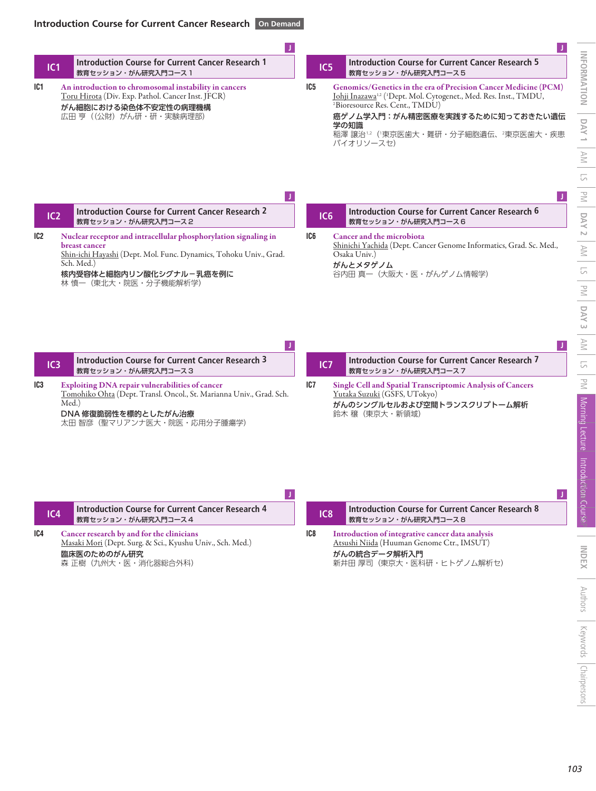Room **<sup>J</sup>**

| <b>IC1</b> | <b>Introduction Course for Current Cancer Research 1</b> |
|------------|----------------------------------------------------------|
|            | √ 教育セッション・がん研究入門コース 1                                    |

**IC1 An introduction to chromosomal instability in cancers** Toru Hirota (Div. Exp. Pathol. Cancer Inst. JFCR) がん細胞における染色体不安定性の病理機構 広田 亨 ((公財) がん研・研・実験病理部)

| IC <sub>5</sub> | Introduction Course for Current Cancer Research 5 |
|-----------------|---------------------------------------------------|
|                 | 教育セッション・がん研究入門コース 5                               |
|                 |                                                   |

Room **<sup>J</sup>**

**IC5 Genomics/Genetics in the era of Precision Cancer Medicine (PCM)** <u>Johji Inazawab2 ('Dept. Mol. Cytogenet., Med. Res. Inst., TMDU,</u> 2 Bioresource Res. Cent., TMDU)

## 癌ゲノム学入門:がん精密医療を実践するために知っておきたい遺伝 学の知識 稲澤 譲治1,2(1東京医歯大・難研・分子細胞遺伝、2東京医歯大・疾患

バイオリソースセ)

| IC <sub>2</sub> | Introduction Course for Current Cancer Research 2<br>教育セッション・がん研究入門コース2 |
|-----------------|-------------------------------------------------------------------------|
|                 |                                                                         |

Room **<sup>J</sup>**

**IC2 Nuclear receptor and intracellular phosphorylation signaling in breast cancer** Shin-ichi Hayashi (Dept. Mol. Func. Dynamics, Tohoku Univ., Grad. Sch. Med.)

> 核内受容体と細胞内リン酸化シグナル-乳癌を例に 林 慎一(東北大・院医・分子機能解析学)

| IC <sub>6</sub> | Introduction Course for Current Cancer Research 6<br>教育セッション・がん研究入門コース6 |
|-----------------|-------------------------------------------------------------------------|
|                 |                                                                         |

谷内田 真一(大阪大・医・がんゲノム情報学)

Shinichi Yachida (Dept. Cancer Genome Informatics, Grad. Sc. Med.,

**IC6 Cancer and the microbiota**

Osaka Univ.) がんとメタゲノム

Room **<sup>J</sup>**

| IC3 |       | Introduction Course for Current Cancer Research 3<br>教育セッション・がん研究入門コース3                                                                                                            | IC7 | Introduction Course for Current Cancer Research 7<br>教育セッション・がん研究入門コースフ                                                                   |  |
|-----|-------|------------------------------------------------------------------------------------------------------------------------------------------------------------------------------------|-----|-------------------------------------------------------------------------------------------------------------------------------------------|--|
| IC3 | Med.) | <b>Exploiting DNA repair vulnerabilities of cancer</b><br>Tomohiko Ohta (Dept. Transl. Oncol., St. Marianna Univ., Grad. Sch.<br>DNA 修復脆弱性を標的としたがん治療<br>太田 智彦(聖マリアンナ医大・院医・応用分子腫瘍学) | IC7 | Single Cell and Spatial Transcriptomic Analysis of Cancers<br>Yutaka Suzuki (GSFS, UTokyo)<br>がんのシングルセルおよび空間トランスクリプトーム解析<br>鈴木 穣(東京大・新領域) |  |

| IC7 |  | Introduction Course for Current Cancer Research 7<br>教育セッション・がん研究入門コースフ                           |
|-----|--|---------------------------------------------------------------------------------------------------|
| IC7 |  | <b>Single Cell and Spatial Transcriptomic Analysis of Cancers</b><br>Yutaka Suzuki (GSFS, UTokyo) |

```
<u>Yutaka Suzuki</u> (GSFS, UTokyo)
                  び空間トランスクリプトーム解析
鈴木 穣(東京大・新領域)
```

| IC4 |  | Introduction Course for Current Cancer Research 4<br>教育セッション・がん研究入門コース4                                                                      | IC <sub>8</sub> | Introduction Course for Current Cancer Research 8<br>教育セッション・がん研究入門コース8                                                                   |  |
|-----|--|----------------------------------------------------------------------------------------------------------------------------------------------|-----------------|-------------------------------------------------------------------------------------------------------------------------------------------|--|
| IC4 |  | Cancer research by and for the clinicians<br>Masaki Mori (Dept. Surg. & Sci., Kyushu Univ., Sch. Med.)<br>臨床医のためのがん研究<br>森 正樹(九州大・医・消化器総合外科) | IC8             | Introduction of integrative cancer data analysis<br>Atsushi Niida (Huuman Genome Ctr., IMSUT)<br>がんの統合データ解析入門<br>新井田 厚司(東京大・医科研・ヒトゲノム解析セ) |  |